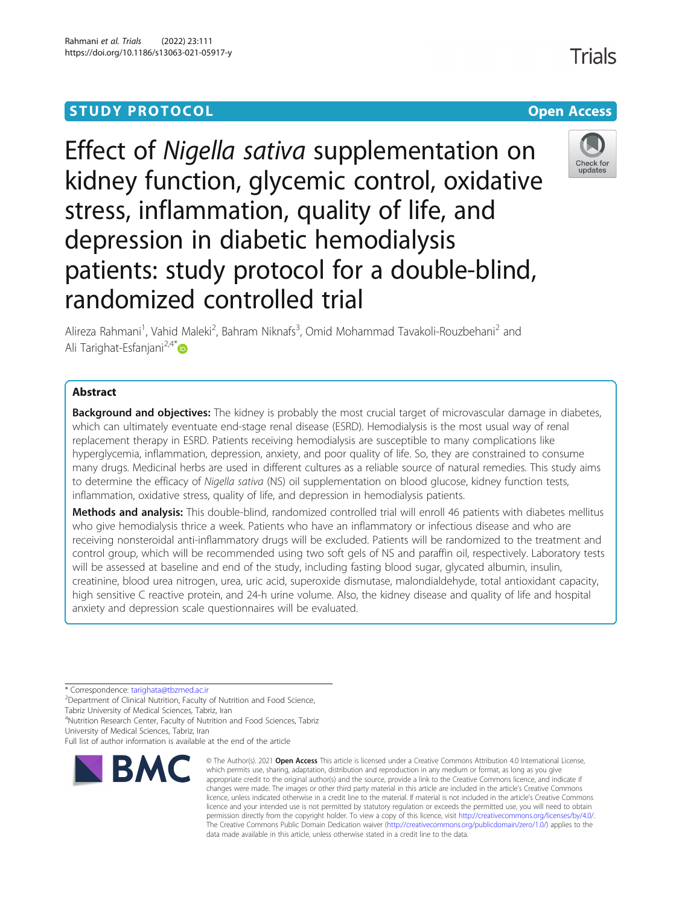Effect of Nigella sativa supplementation on kidney function, glycemic control, oxidative stress, inflammation, quality of life, and depression in diabetic hemodialysis patients: study protocol for a double-blind, randomized controlled trial

Alireza Rahmani<sup>1</sup>, Vahid Maleki<sup>2</sup>, Bahram Niknafs<sup>3</sup>, Omid Mohammad Tavakoli-Rouzbehani<sup>2</sup> and Ali Tarighat-Esfanjani $2.4*$  $2.4*$ 

# Abstract

**Background and objectives:** The kidney is probably the most crucial target of microvascular damage in diabetes, which can ultimately eventuate end-stage renal disease (ESRD). Hemodialysis is the most usual way of renal replacement therapy in ESRD. Patients receiving hemodialysis are susceptible to many complications like hyperglycemia, inflammation, depression, anxiety, and poor quality of life. So, they are constrained to consume many drugs. Medicinal herbs are used in different cultures as a reliable source of natural remedies. This study aims to determine the efficacy of Nigella sativa (NS) oil supplementation on blood glucose, kidney function tests, inflammation, oxidative stress, quality of life, and depression in hemodialysis patients.

Methods and analysis: This double-blind, randomized controlled trial will enroll 46 patients with diabetes mellitus who give hemodialysis thrice a week. Patients who have an inflammatory or infectious disease and who are receiving nonsteroidal anti-inflammatory drugs will be excluded. Patients will be randomized to the treatment and control group, which will be recommended using two soft gels of NS and paraffin oil, respectively. Laboratory tests will be assessed at baseline and end of the study, including fasting blood sugar, glycated albumin, insulin, creatinine, blood urea nitrogen, urea, uric acid, superoxide dismutase, malondialdehyde, total antioxidant capacity, high sensitive C reactive protein, and 24-h urine volume. Also, the kidney disease and quality of life and hospital anxiety and depression scale questionnaires will be evaluated.

\* Correspondence: [tarighata@tbzmed.ac.ir](mailto:tarighata@tbzmed.ac.ir) <sup>2</sup>

<sup>2</sup> Department of Clinical Nutrition, Faculty of Nutrition and Food Science,

Tabriz University of Medical Sciences, Tabriz, Iran 4 Nutrition Research Center, Faculty of Nutrition and Food Sciences, Tabriz

University of Medical Sciences, Tabriz, Iran



<sup>©</sup> The Author(s), 2021 **Open Access** This article is licensed under a Creative Commons Attribution 4.0 International License, which permits use, sharing, adaptation, distribution and reproduction in any medium or format, as long as you give appropriate credit to the original author(s) and the source, provide a link to the Creative Commons licence, and indicate if changes were made. The images or other third party material in this article are included in the article's Creative Commons licence, unless indicated otherwise in a credit line to the material. If material is not included in the article's Creative Commons licence and your intended use is not permitted by statutory regulation or exceeds the permitted use, you will need to obtain permission directly from the copyright holder. To view a copy of this licence, visit [http://creativecommons.org/licenses/by/4.0/.](http://creativecommons.org/licenses/by/4.0/) The Creative Commons Public Domain Dedication waiver [\(http://creativecommons.org/publicdomain/zero/1.0/](http://creativecommons.org/publicdomain/zero/1.0/)) applies to the data made available in this article, unless otherwise stated in a credit line to the data.



Full list of author information is available at the end of the article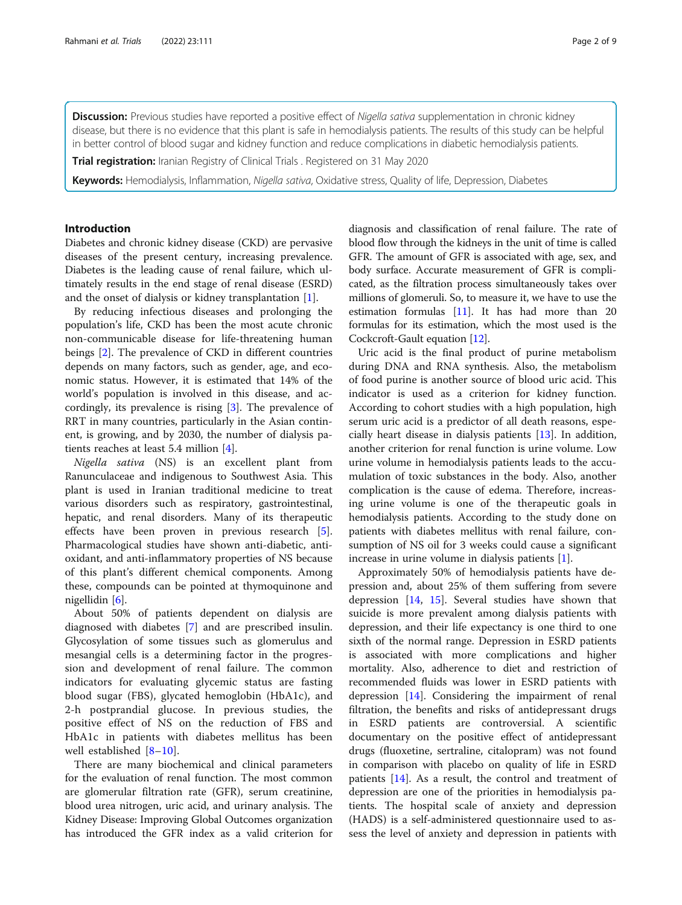Discussion: Previous studies have reported a positive effect of Nigella sativa supplementation in chronic kidney disease, but there is no evidence that this plant is safe in hemodialysis patients. The results of this study can be helpful in better control of blood sugar and kidney function and reduce complications in diabetic hemodialysis patients.

Trial registration: Iranian Registry of Clinical Trials . Registered on 31 May 2020

Keywords: Hemodialysis, Inflammation, Nigella sativa, Oxidative stress, Quality of life, Depression, Diabetes

## Introduction

Diabetes and chronic kidney disease (CKD) are pervasive diseases of the present century, increasing prevalence. Diabetes is the leading cause of renal failure, which ultimately results in the end stage of renal disease (ESRD) and the onset of dialysis or kidney transplantation [[1\]](#page-7-0).

By reducing infectious diseases and prolonging the population's life, CKD has been the most acute chronic non-communicable disease for life-threatening human beings [\[2\]](#page-7-0). The prevalence of CKD in different countries depends on many factors, such as gender, age, and economic status. However, it is estimated that 14% of the world's population is involved in this disease, and accordingly, its prevalence is rising [\[3](#page-7-0)]. The prevalence of RRT in many countries, particularly in the Asian continent, is growing, and by 2030, the number of dialysis patients reaches at least 5.4 million [\[4](#page-7-0)].

Nigella sativa (NS) is an excellent plant from Ranunculaceae and indigenous to Southwest Asia. This plant is used in Iranian traditional medicine to treat various disorders such as respiratory, gastrointestinal, hepatic, and renal disorders. Many of its therapeutic effects have been proven in previous research [\[5](#page-7-0)]. Pharmacological studies have shown anti-diabetic, antioxidant, and anti-inflammatory properties of NS because of this plant's different chemical components. Among these, compounds can be pointed at thymoquinone and nigellidin [[6\]](#page-7-0).

About 50% of patients dependent on dialysis are diagnosed with diabetes [[7\]](#page-7-0) and are prescribed insulin. Glycosylation of some tissues such as glomerulus and mesangial cells is a determining factor in the progression and development of renal failure. The common indicators for evaluating glycemic status are fasting blood sugar (FBS), glycated hemoglobin (HbA1c), and 2-h postprandial glucose. In previous studies, the positive effect of NS on the reduction of FBS and HbA1c in patients with diabetes mellitus has been well established [\[8](#page-7-0)–[10](#page-7-0)].

There are many biochemical and clinical parameters for the evaluation of renal function. The most common are glomerular filtration rate (GFR), serum creatinine, blood urea nitrogen, uric acid, and urinary analysis. The Kidney Disease: Improving Global Outcomes organization has introduced the GFR index as a valid criterion for

diagnosis and classification of renal failure. The rate of blood flow through the kidneys in the unit of time is called GFR. The amount of GFR is associated with age, sex, and body surface. Accurate measurement of GFR is complicated, as the filtration process simultaneously takes over millions of glomeruli. So, to measure it, we have to use the estimation formulas [[11](#page-7-0)]. It has had more than 20 formulas for its estimation, which the most used is the Cockcroft-Gault equation [\[12\]](#page-7-0).

Uric acid is the final product of purine metabolism during DNA and RNA synthesis. Also, the metabolism of food purine is another source of blood uric acid. This indicator is used as a criterion for kidney function. According to cohort studies with a high population, high serum uric acid is a predictor of all death reasons, especially heart disease in dialysis patients [\[13\]](#page-7-0). In addition, another criterion for renal function is urine volume. Low urine volume in hemodialysis patients leads to the accumulation of toxic substances in the body. Also, another complication is the cause of edema. Therefore, increasing urine volume is one of the therapeutic goals in hemodialysis patients. According to the study done on patients with diabetes mellitus with renal failure, consumption of NS oil for 3 weeks could cause a significant increase in urine volume in dialysis patients [\[1](#page-7-0)].

Approximately 50% of hemodialysis patients have depression and, about 25% of them suffering from severe depression [\[14](#page-7-0), [15](#page-7-0)]. Several studies have shown that suicide is more prevalent among dialysis patients with depression, and their life expectancy is one third to one sixth of the normal range. Depression in ESRD patients is associated with more complications and higher mortality. Also, adherence to diet and restriction of recommended fluids was lower in ESRD patients with depression  $[14]$ . Considering the impairment of renal filtration, the benefits and risks of antidepressant drugs in ESRD patients are controversial. A scientific documentary on the positive effect of antidepressant drugs (fluoxetine, sertraline, citalopram) was not found in comparison with placebo on quality of life in ESRD patients [\[14](#page-7-0)]. As a result, the control and treatment of depression are one of the priorities in hemodialysis patients. The hospital scale of anxiety and depression (HADS) is a self-administered questionnaire used to assess the level of anxiety and depression in patients with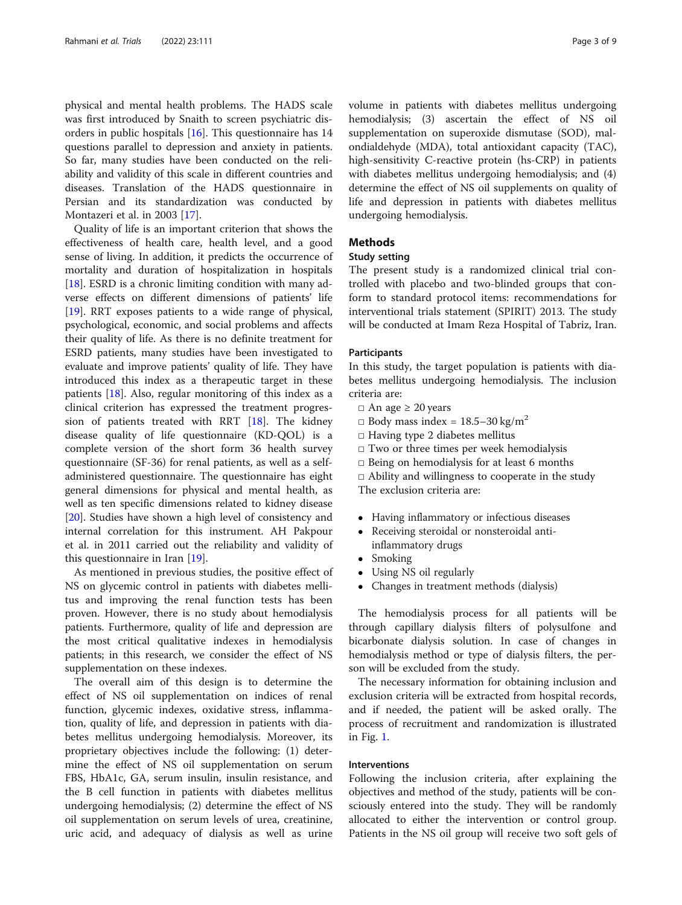physical and mental health problems. The HADS scale was first introduced by Snaith to screen psychiatric disorders in public hospitals [[16](#page-7-0)]. This questionnaire has 14 questions parallel to depression and anxiety in patients. So far, many studies have been conducted on the reliability and validity of this scale in different countries and diseases. Translation of the HADS questionnaire in Persian and its standardization was conducted by Montazeri et al. in 2003 [[17\]](#page-7-0).

Quality of life is an important criterion that shows the effectiveness of health care, health level, and a good sense of living. In addition, it predicts the occurrence of mortality and duration of hospitalization in hospitals [[18\]](#page-7-0). ESRD is a chronic limiting condition with many adverse effects on different dimensions of patients' life [[19\]](#page-7-0). RRT exposes patients to a wide range of physical, psychological, economic, and social problems and affects their quality of life. As there is no definite treatment for ESRD patients, many studies have been investigated to evaluate and improve patients' quality of life. They have introduced this index as a therapeutic target in these patients [\[18](#page-7-0)]. Also, regular monitoring of this index as a clinical criterion has expressed the treatment progression of patients treated with RRT [[18](#page-7-0)]. The kidney disease quality of life questionnaire (KD-QOL) is a complete version of the short form 36 health survey questionnaire (SF-36) for renal patients, as well as a selfadministered questionnaire. The questionnaire has eight general dimensions for physical and mental health, as well as ten specific dimensions related to kidney disease [[20\]](#page-7-0). Studies have shown a high level of consistency and internal correlation for this instrument. AH Pakpour et al. in 2011 carried out the reliability and validity of this questionnaire in Iran [[19](#page-7-0)].

As mentioned in previous studies, the positive effect of NS on glycemic control in patients with diabetes mellitus and improving the renal function tests has been proven. However, there is no study about hemodialysis patients. Furthermore, quality of life and depression are the most critical qualitative indexes in hemodialysis patients; in this research, we consider the effect of NS supplementation on these indexes.

The overall aim of this design is to determine the effect of NS oil supplementation on indices of renal function, glycemic indexes, oxidative stress, inflammation, quality of life, and depression in patients with diabetes mellitus undergoing hemodialysis. Moreover, its proprietary objectives include the following: (1) determine the effect of NS oil supplementation on serum FBS, HbA1c, GA, serum insulin, insulin resistance, and the B cell function in patients with diabetes mellitus undergoing hemodialysis; (2) determine the effect of NS oil supplementation on serum levels of urea, creatinine, uric acid, and adequacy of dialysis as well as urine volume in patients with diabetes mellitus undergoing hemodialysis; (3) ascertain the effect of NS oil supplementation on superoxide dismutase (SOD), malondialdehyde (MDA), total antioxidant capacity (TAC), high-sensitivity C-reactive protein (hs-CRP) in patients with diabetes mellitus undergoing hemodialysis; and (4) determine the effect of NS oil supplements on quality of life and depression in patients with diabetes mellitus undergoing hemodialysis.

## **Methods**

## Study setting

The present study is a randomized clinical trial controlled with placebo and two-blinded groups that conform to standard protocol items: recommendations for interventional trials statement (SPIRIT) 2013. The study will be conducted at Imam Reza Hospital of Tabriz, Iran.

## **Participants**

In this study, the target population is patients with diabetes mellitus undergoing hemodialysis. The inclusion criteria are:

- $\Box$  An age  $\geq 20$  years
- $\Box$  Body mass index = 18.5–30 kg/m<sup>2</sup>
- $\Box$  Having type 2 diabetes mellitus
- $\square$  Two or three times per week hemodialysis
- $\Box$  Being on hemodialysis for at least 6 months
- $\Box$  Ability and willingness to cooperate in the study

The exclusion criteria are:

- Having inflammatory or infectious diseases<br>• Receiving steroidal or nonsteroidal anti-
- Receiving steroidal or nonsteroidal antiinflammatory drugs
- Smoking
- Using NS oil regularly
- Changes in treatment methods (dialysis)

The hemodialysis process for all patients will be through capillary dialysis filters of polysulfone and bicarbonate dialysis solution. In case of changes in hemodialysis method or type of dialysis filters, the person will be excluded from the study.

The necessary information for obtaining inclusion and exclusion criteria will be extracted from hospital records, and if needed, the patient will be asked orally. The process of recruitment and randomization is illustrated in Fig. [1](#page-3-0).

## Interventions

Following the inclusion criteria, after explaining the objectives and method of the study, patients will be consciously entered into the study. They will be randomly allocated to either the intervention or control group. Patients in the NS oil group will receive two soft gels of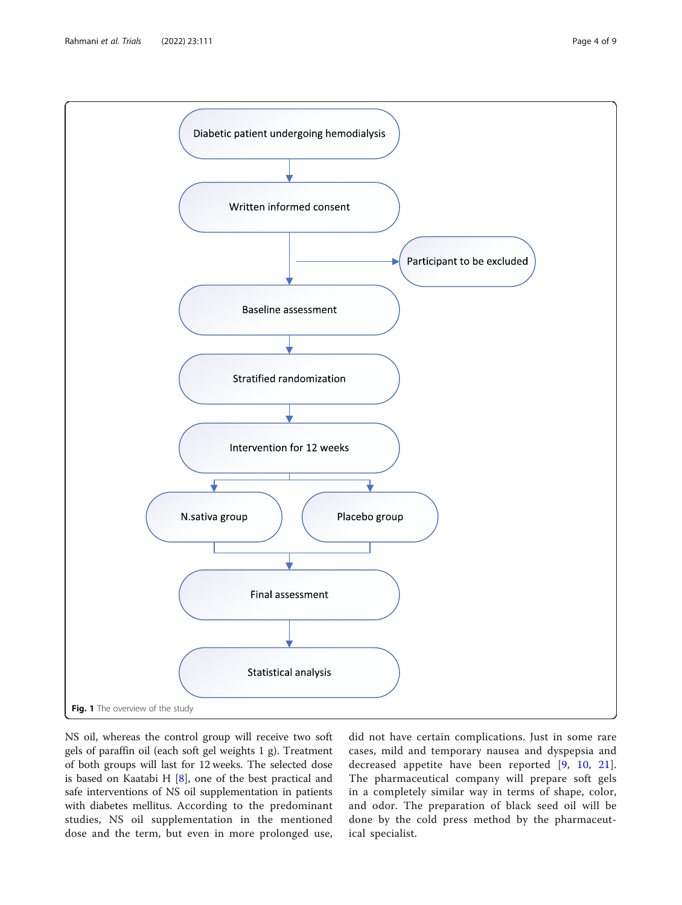<span id="page-3-0"></span>

NS oil, whereas the control group will receive two soft gels of paraffin oil (each soft gel weights 1 g). Treatment of both groups will last for 12 weeks. The selected dose is based on Kaatabi H [\[8](#page-7-0)], one of the best practical and safe interventions of NS oil supplementation in patients with diabetes mellitus. According to the predominant studies, NS oil supplementation in the mentioned dose and the term, but even in more prolonged use,

did not have certain complications. Just in some rare cases, mild and temporary nausea and dyspepsia and decreased appetite have been reported [[9,](#page-7-0) [10](#page-7-0), [21](#page-7-0)]. The pharmaceutical company will prepare soft gels in a completely similar way in terms of shape, color, and odor. The preparation of black seed oil will be done by the cold press method by the pharmaceutical specialist.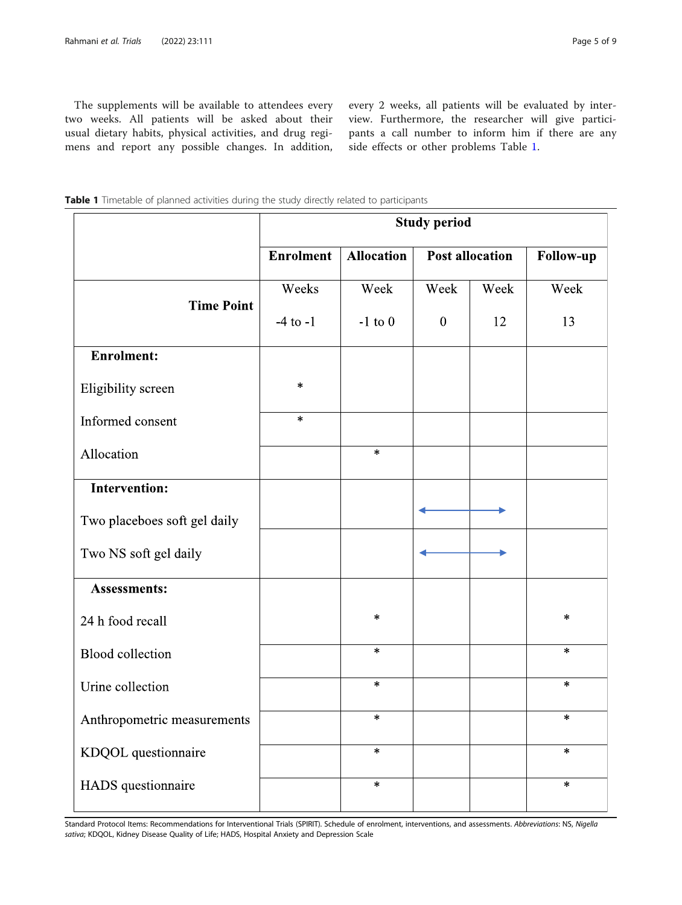The supplements will be available to attendees every two weeks. All patients will be asked about their usual dietary habits, physical activities, and drug regimens and report any possible changes. In addition,

every 2 weeks, all patients will be evaluated by interview. Furthermore, the researcher will give participants a call number to inform him if there are any side effects or other problems Table 1.

|                              | <b>Study period</b> |                   |                        |      |                  |
|------------------------------|---------------------|-------------------|------------------------|------|------------------|
|                              | <b>Enrolment</b>    | <b>Allocation</b> | <b>Post allocation</b> |      | <b>Follow-up</b> |
|                              | Weeks               | Week              | Week                   | Week | Week             |
| <b>Time Point</b>            | $-4$ to $-1$        | $-1$ to $0$       | $\overline{0}$         | 12   | 13               |
| <b>Enrolment:</b>            |                     |                   |                        |      |                  |
| Eligibility screen           | $\ast$              |                   |                        |      |                  |
| Informed consent             | $\ast$              |                   |                        |      |                  |
| Allocation                   |                     | $\ast$            |                        |      |                  |
| <b>Intervention:</b>         |                     |                   |                        |      |                  |
| Two placeboes soft gel daily |                     |                   |                        |      |                  |
| Two NS soft gel daily        |                     |                   |                        |      |                  |
| <b>Assessments:</b>          |                     |                   |                        |      |                  |
| 24 h food recall             |                     | $\ast$            |                        |      | $\ast$           |
| <b>Blood</b> collection      |                     | $\ast$            |                        |      | $\ast$           |
| Urine collection             |                     | $\star$           |                        |      | $\ast$           |
| Anthropometric measurements  |                     | $\ast$            |                        |      | $\ast$           |
| KDQOL questionnaire          |                     | $\ast$            |                        |      | $\ast$           |
| HADS questionnaire           |                     | $\star$           |                        |      | $\ast$           |

Standard Protocol Items: Recommendations for Interventional Trials (SPIRIT). Schedule of enrolment, interventions, and assessments. Abbreviations: NS, Nigella sativa; KDQOL, Kidney Disease Quality of Life; HADS, Hospital Anxiety and Depression Scale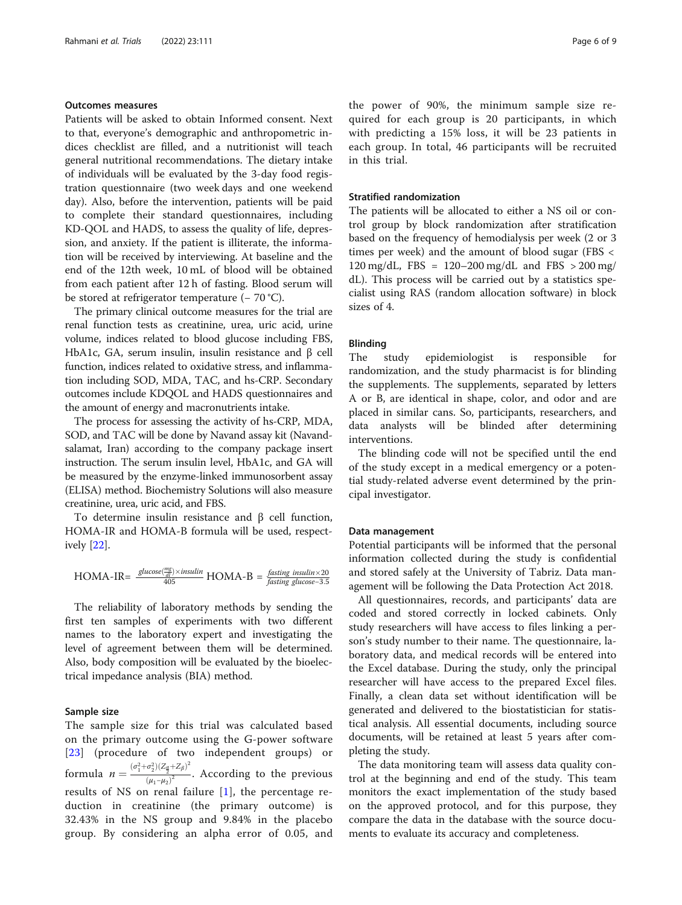## Outcomes measures

Patients will be asked to obtain Informed consent. Next to that, everyone's demographic and anthropometric indices checklist are filled, and a nutritionist will teach general nutritional recommendations. The dietary intake of individuals will be evaluated by the 3-day food registration questionnaire (two week days and one weekend day). Also, before the intervention, patients will be paid to complete their standard questionnaires, including KD-QOL and HADS, to assess the quality of life, depression, and anxiety. If the patient is illiterate, the information will be received by interviewing. At baseline and the end of the 12th week, 10 mL of blood will be obtained from each patient after 12 h of fasting. Blood serum will be stored at refrigerator temperature (− 70 °C).

The primary clinical outcome measures for the trial are renal function tests as creatinine, urea, uric acid, urine volume, indices related to blood glucose including FBS, HbA1c, GA, serum insulin, insulin resistance and β cell function, indices related to oxidative stress, and inflammation including SOD, MDA, TAC, and hs-CRP. Secondary outcomes include KDQOL and HADS questionnaires and the amount of energy and macronutrients intake.

The process for assessing the activity of hs-CRP, MDA, SOD, and TAC will be done by Navand assay kit (Navandsalamat, Iran) according to the company package insert instruction. The serum insulin level, HbA1c, and GA will be measured by the enzyme-linked immunosorbent assay (ELISA) method. Biochemistry Solutions will also measure creatinine, urea, uric acid, and FBS.

To determine insulin resistance and β cell function, HOMA-IR and HOMA-B formula will be used, respectively [\[22](#page-7-0)].

$$
HOMA-IR = \frac{glucose(\frac{mg}{dt}) \times insulin}{405} \cdot HOMA-B = \frac{fasting\ insulin \times 20}{fasting\ glucose - 3.5}
$$

The reliability of laboratory methods by sending the first ten samples of experiments with two different names to the laboratory expert and investigating the level of agreement between them will be determined. Also, body composition will be evaluated by the bioelectrical impedance analysis (BIA) method.

## Sample size

The sample size for this trial was calculated based on the primary outcome using the G-power software [[23](#page-8-0)] (procedure of two independent groups) or formula  $n = \frac{(\sigma_1^2 + \sigma_2^2)(Z_{\frac{\alpha}{2}} + Z_{\beta})^2}{(\mu_1 - \mu_2)^2}$  $\frac{2\sqrt{2}}{(\mu_1-\mu_2)^2}$ . According to the previous results of NS on renal failure [[1](#page-7-0)], the percentage reduction in creatinine (the primary outcome) is 32.43% in the NS group and 9.84% in the placebo group. By considering an alpha error of 0.05, and the power of 90%, the minimum sample size required for each group is 20 participants, in which with predicting a 15% loss, it will be 23 patients in each group. In total, 46 participants will be recruited in this trial.

## Stratified randomization

The patients will be allocated to either a NS oil or control group by block randomization after stratification based on the frequency of hemodialysis per week (2 or 3 times per week) and the amount of blood sugar (FBS < 120 mg/dL, FBS = 120–200 mg/dL and FBS > 200 mg/ dL). This process will be carried out by a statistics specialist using RAS (random allocation software) in block sizes of 4.

## Blinding

The study epidemiologist is responsible for randomization, and the study pharmacist is for blinding the supplements. The supplements, separated by letters A or B, are identical in shape, color, and odor and are placed in similar cans. So, participants, researchers, and data analysts will be blinded after determining interventions.

The blinding code will not be specified until the end of the study except in a medical emergency or a potential study-related adverse event determined by the principal investigator.

## Data management

Potential participants will be informed that the personal information collected during the study is confidential and stored safely at the University of Tabriz. Data management will be following the Data Protection Act 2018.

All questionnaires, records, and participants' data are coded and stored correctly in locked cabinets. Only study researchers will have access to files linking a person's study number to their name. The questionnaire, laboratory data, and medical records will be entered into the Excel database. During the study, only the principal researcher will have access to the prepared Excel files. Finally, a clean data set without identification will be generated and delivered to the biostatistician for statistical analysis. All essential documents, including source documents, will be retained at least 5 years after completing the study.

The data monitoring team will assess data quality control at the beginning and end of the study. This team monitors the exact implementation of the study based on the approved protocol, and for this purpose, they compare the data in the database with the source documents to evaluate its accuracy and completeness.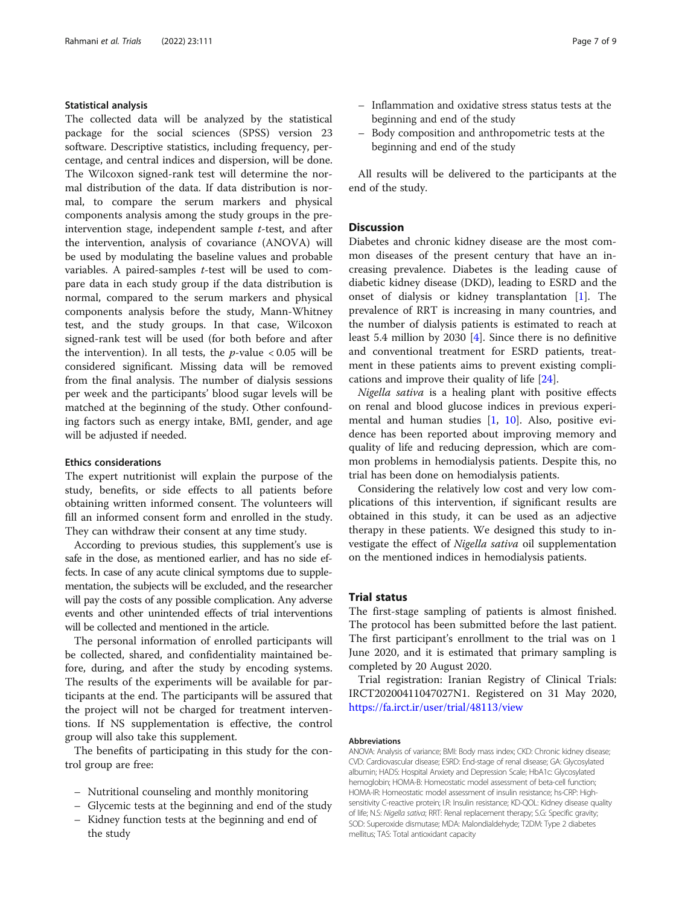## Statistical analysis

The collected data will be analyzed by the statistical package for the social sciences (SPSS) version 23 software. Descriptive statistics, including frequency, percentage, and central indices and dispersion, will be done. The Wilcoxon signed-rank test will determine the normal distribution of the data. If data distribution is normal, to compare the serum markers and physical components analysis among the study groups in the preintervention stage, independent sample  $t$ -test, and after the intervention, analysis of covariance (ANOVA) will be used by modulating the baseline values and probable variables. A paired-samples t-test will be used to compare data in each study group if the data distribution is normal, compared to the serum markers and physical components analysis before the study, Mann-Whitney test, and the study groups. In that case, Wilcoxon signed-rank test will be used (for both before and after the intervention). In all tests, the  $p$ -value  $< 0.05$  will be considered significant. Missing data will be removed from the final analysis. The number of dialysis sessions per week and the participants' blood sugar levels will be matched at the beginning of the study. Other confounding factors such as energy intake, BMI, gender, and age will be adjusted if needed.

## Ethics considerations

The expert nutritionist will explain the purpose of the study, benefits, or side effects to all patients before obtaining written informed consent. The volunteers will fill an informed consent form and enrolled in the study. They can withdraw their consent at any time study.

According to previous studies, this supplement's use is safe in the dose, as mentioned earlier, and has no side effects. In case of any acute clinical symptoms due to supplementation, the subjects will be excluded, and the researcher will pay the costs of any possible complication. Any adverse events and other unintended effects of trial interventions will be collected and mentioned in the article.

The personal information of enrolled participants will be collected, shared, and confidentiality maintained before, during, and after the study by encoding systems. The results of the experiments will be available for participants at the end. The participants will be assured that the project will not be charged for treatment interventions. If NS supplementation is effective, the control group will also take this supplement.

The benefits of participating in this study for the control group are free:

- Nutritional counseling and monthly monitoring
- Glycemic tests at the beginning and end of the study
- Kidney function tests at the beginning and end of the study
- Inflammation and oxidative stress status tests at the beginning and end of the study
- Body composition and anthropometric tests at the beginning and end of the study

All results will be delivered to the participants at the end of the study.

## **Discussion**

Diabetes and chronic kidney disease are the most common diseases of the present century that have an increasing prevalence. Diabetes is the leading cause of diabetic kidney disease (DKD), leading to ESRD and the onset of dialysis or kidney transplantation [\[1](#page-7-0)]. The prevalence of RRT is increasing in many countries, and the number of dialysis patients is estimated to reach at least 5.4 million by 2030 [[4\]](#page-7-0). Since there is no definitive and conventional treatment for ESRD patients, treatment in these patients aims to prevent existing complications and improve their quality of life [\[24\]](#page-8-0).

Nigella sativa is a healing plant with positive effects on renal and blood glucose indices in previous experimental and human studies [[1,](#page-7-0) [10\]](#page-7-0). Also, positive evidence has been reported about improving memory and quality of life and reducing depression, which are common problems in hemodialysis patients. Despite this, no trial has been done on hemodialysis patients.

Considering the relatively low cost and very low complications of this intervention, if significant results are obtained in this study, it can be used as an adjective therapy in these patients. We designed this study to investigate the effect of Nigella sativa oil supplementation on the mentioned indices in hemodialysis patients.

## Trial status

The first-stage sampling of patients is almost finished. The protocol has been submitted before the last patient. The first participant's enrollment to the trial was on 1 June 2020, and it is estimated that primary sampling is completed by 20 August 2020.

Trial registration: Iranian Registry of Clinical Trials: IRCT20200411047027N1. Registered on 31 May 2020, <https://fa.irct.ir/user/trial/48113/view>

#### Abbreviations

ANOVA: Analysis of variance; BMI: Body mass index; CKD: Chronic kidney disease; CVD: Cardiovascular disease; ESRD: End-stage of renal disease; GA: Glycosylated albumin; HADS: Hospital Anxiety and Depression Scale; HbA1c: Glycosylated hemoglobin; HOMA-B: Homeostatic model assessment of beta-cell function; HOMA-IR: Homeostatic model assessment of insulin resistance; hs-CRP: Highsensitivity C-reactive protein; I.R: Insulin resistance; KD-QOL: Kidney disease quality of life; N.S: Nigella sativa; RRT: Renal replacement therapy; S.G: Specific gravity; SOD: Superoxide dismutase; MDA: Malondialdehyde; T2DM: Type 2 diabetes mellitus; TAS: Total antioxidant capacity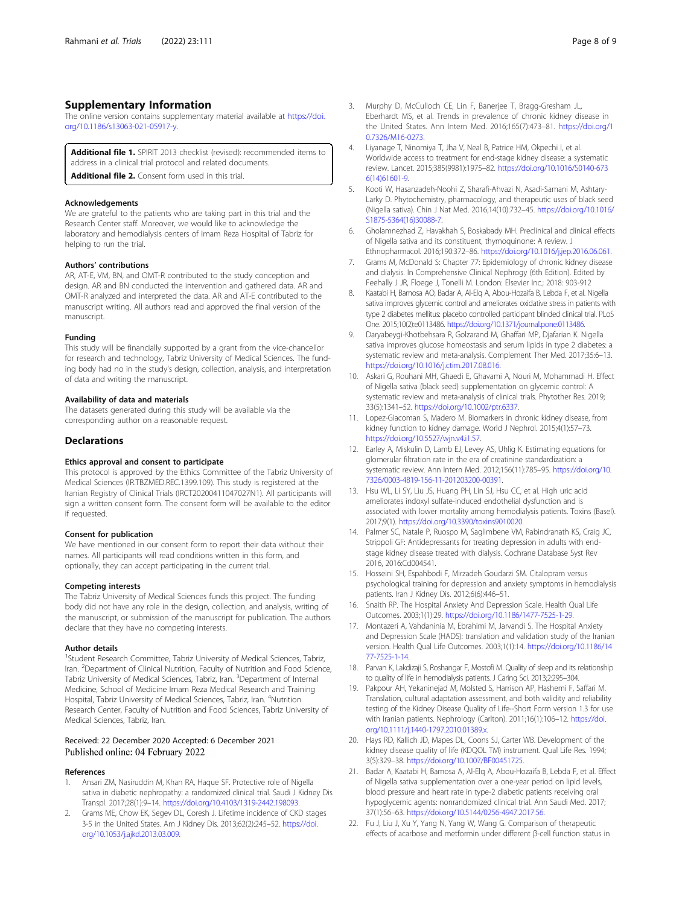## <span id="page-7-0"></span>Supplementary Information

The online version contains supplementary material available at [https://doi.](https://doi.org/10.1186/s13063-021-05917-y) [org/10.1186/s13063-021-05917-y](https://doi.org/10.1186/s13063-021-05917-y).

Additional file 1. SPIRIT 2013 checklist (revised): recommended items to address in a clinical trial protocol and related documents. Additional file 2. Consent form used in this trial

#### Acknowledgements

We are grateful to the patients who are taking part in this trial and the Research Center staff. Moreover, we would like to acknowledge the laboratory and hemodialysis centers of Imam Reza Hospital of Tabriz for helping to run the trial.

#### Authors' contributions

AR, AT-E, VM, BN, and OMT-R contributed to the study conception and design. AR and BN conducted the intervention and gathered data. AR and OMT-R analyzed and interpreted the data. AR and AT-E contributed to the manuscript writing. All authors read and approved the final version of the manuscript.

#### Funding

This study will be financially supported by a grant from the vice-chancellor for research and technology, Tabriz University of Medical Sciences. The funding body had no in the study's design, collection, analysis, and interpretation of data and writing the manuscript.

#### Availability of data and materials

The datasets generated during this study will be available via the corresponding author on a reasonable request.

### **Declarations**

## Ethics approval and consent to participate

This protocol is approved by the Ethics Committee of the Tabriz University of Medical Sciences (IR.TBZMED.REC.1399.109). This study is registered at the Iranian Registry of Clinical Trials (IRCT20200411047027N1). All participants will sign a written consent form. The consent form will be available to the editor if requested.

## Consent for publication

We have mentioned in our consent form to report their data without their names. All participants will read conditions written in this form, and optionally, they can accept participating in the current trial.

#### Competing interests

The Tabriz University of Medical Sciences funds this project. The funding body did not have any role in the design, collection, and analysis, writing of the manuscript, or submission of the manuscript for publication. The authors declare that they have no competing interests.

#### Author details

<sup>1</sup>Student Research Committee, Tabriz University of Medical Sciences, Tabriz, Iran. <sup>2</sup> Department of Clinical Nutrition, Faculty of Nutrition and Food Science, Tabriz University of Medical Sciences, Tabriz, Iran. <sup>3</sup>Department of Internal Medicine, School of Medicine Imam Reza Medical Research and Training Hospital, Tabriz University of Medical Sciences, Tabriz, Iran. <sup>4</sup>Nutrition Research Center, Faculty of Nutrition and Food Sciences, Tabriz University of Medical Sciences, Tabriz, Iran.

## Received: 22 December 2020 Accepted: 6 December 2021 Published online: 04 February 2022

## References

- Ansari ZM, Nasiruddin M, Khan RA, Haque SF. Protective role of Nigella sativa in diabetic nephropathy: a randomized clinical trial. Saudi J Kidney Dis Transpl. 2017;28(1):9–14. [https://doi.org/10.4103/1319-2442.198093.](https://doi.org/10.4103/1319-2442.198093)
- 2. Grams ME, Chow EK, Segev DL, Coresh J. Lifetime incidence of CKD stages 3-5 in the United States. Am J Kidney Dis. 2013;62(2):245–52. [https://doi.](https://doi.org/10.1053/j.ajkd.2013.03.009) [org/10.1053/j.ajkd.2013.03.009](https://doi.org/10.1053/j.ajkd.2013.03.009).
- 3. Murphy D, McCulloch CE, Lin F, Banerjee T, Bragg-Gresham JL, Eberhardt MS, et al. Trends in prevalence of chronic kidney disease in the United States. Ann Intern Med. 2016;165(7):473–81. [https://doi.org/1](https://doi.org/10.7326/M16-0273) [0.7326/M16-0273.](https://doi.org/10.7326/M16-0273)
- 4. Liyanage T, Ninomiya T, Jha V, Neal B, Patrice HM, Okpechi I, et al. Worldwide access to treatment for end-stage kidney disease: a systematic review. Lancet. 2015;385(9981):1975–82. [https://doi.org/10.1016/S0140-673](https://doi.org/10.1016/S0140-6736(14)61601-9) [6\(14\)61601-9](https://doi.org/10.1016/S0140-6736(14)61601-9).
- 5. Kooti W, Hasanzadeh-Noohi Z, Sharafi-Ahvazi N, Asadi-Samani M, Ashtary-Larky D. Phytochemistry, pharmacology, and therapeutic uses of black seed (Nigella sativa). Chin J Nat Med. 2016;14(10):732–45. [https://doi.org/10.1016/](https://doi.org/10.1016/S1875-5364(16)30088-7) [S1875-5364\(16\)30088-7](https://doi.org/10.1016/S1875-5364(16)30088-7).
- 6. Gholamnezhad Z, Havakhah S, Boskabady MH. Preclinical and clinical effects of Nigella sativa and its constituent, thymoquinone: A review. J Ethnopharmacol. 2016;190:372–86. <https://doi.org/10.1016/j.jep.2016.06.061>.
- 7. Grams M, McDonald S: Chapter 77: Epidemiology of chronic kidney disease and dialysis. In Comprehensive Clinical Nephrogy (6th Edition). Edited by Feehally J JR, Floege J, Tonelli M. London: Elsevier Inc.; 2018: 903-912
- 8. Kaatabi H, Bamosa AO, Badar A, Al-Elq A, Abou-Hozaifa B, Lebda F, et al. Nigella sativa improves glycemic control and ameliorates oxidative stress in patients with type 2 diabetes mellitus: placebo controlled participant blinded clinical trial. PLoS One. 2015;10(2):e0113486. <https://doi.org/10.1371/journal.pone.0113486>.
- 9. Daryabeygi-Khotbehsara R, Golzarand M, Ghaffari MP, Djafarian K. Nigella sativa improves glucose homeostasis and serum lipids in type 2 diabetes: a systematic review and meta-analysis. Complement Ther Med. 2017;35:6–13. <https://doi.org/10.1016/j.ctim.2017.08.016>.
- 10. Askari G, Rouhani MH, Ghaedi E, Ghavami A, Nouri M, Mohammadi H. Effect of Nigella sativa (black seed) supplementation on glycemic control: A systematic review and meta-analysis of clinical trials. Phytother Res. 2019; 33(5):1341–52. <https://doi.org/10.1002/ptr.6337>.
- 11. Lopez-Giacoman S, Madero M. Biomarkers in chronic kidney disease, from kidney function to kidney damage. World J Nephrol. 2015;4(1):57–73. <https://doi.org/10.5527/wjn.v4.i1.57>.
- 12. Earley A, Miskulin D, Lamb EJ, Levey AS, Uhlig K. Estimating equations for glomerular filtration rate in the era of creatinine standardization: a systematic review. Ann Intern Med. 2012;156(11):785–95. [https://doi.org/10.](https://doi.org/10.7326/0003-4819-156-11-201203200-00391) [7326/0003-4819-156-11-201203200-00391](https://doi.org/10.7326/0003-4819-156-11-201203200-00391).
- 13. Hsu WL, Li SY, Liu JS, Huang PH, Lin SJ, Hsu CC, et al. High uric acid ameliorates indoxyl sulfate-induced endothelial dysfunction and is associated with lower mortality among hemodialysis patients. Toxins (Basel). 2017;9(1). <https://doi.org/10.3390/toxins9010020>.
- 14. Palmer SC, Natale P, Ruospo M, Saglimbene VM, Rabindranath KS, Craig JC, Strippoli GF: Antidepressants for treating depression in adults with endstage kidney disease treated with dialysis. Cochrane Database Syst Rev 2016, 2016:Cd004541.
- 15. Hosseini SH, Espahbodi F, Mirzadeh Goudarzi SM. Citalopram versus psychological training for depression and anxiety symptoms in hemodialysis patients. Iran J Kidney Dis. 2012;6(6):446–51.
- 16. Snaith RP. The Hospital Anxiety And Depression Scale. Health Qual Life Outcomes. 2003;1(1):29. <https://doi.org/10.1186/1477-7525-1-29>.
- 17. Montazeri A, Vahdaninia M, Ebrahimi M, Jarvandi S. The Hospital Anxiety and Depression Scale (HADS): translation and validation study of the Iranian version. Health Qual Life Outcomes. 2003;1(1):14. [https://doi.org/10.1186/14](https://doi.org/10.1186/1477-7525-1-14) [77-7525-1-14.](https://doi.org/10.1186/1477-7525-1-14)
- 18. Parvan K, Lakdizaji S, Roshangar F, Mostofi M. Quality of sleep and its relationship to quality of life in hemodialysis patients. J Caring Sci. 2013;2:295–304.
- 19. Pakpour AH, Yekaninejad M, Molsted S, Harrison AP, Hashemi F, Saffari M. Translation, cultural adaptation assessment, and both validity and reliability testing of the Kidney Disease Quality of Life--Short Form version 1.3 for use with Iranian patients. Nephrology (Carlton). 2011;16(1):106–12. [https://doi.](https://doi.org/10.1111/j.1440-1797.2010.01389.x) [org/10.1111/j.1440-1797.2010.01389.x](https://doi.org/10.1111/j.1440-1797.2010.01389.x).
- 20. Hays RD, Kallich JD, Mapes DL, Coons SJ, Carter WB. Development of the kidney disease quality of life (KDQOL TM) instrument. Qual Life Res. 1994; 3(5):329–38. [https://doi.org/10.1007/BF00451725.](https://doi.org/10.1007/BF00451725)
- 21. Badar A, Kaatabi H, Bamosa A, Al-Elq A, Abou-Hozaifa B, Lebda F, et al. Effect of Nigella sativa supplementation over a one-year period on lipid levels, blood pressure and heart rate in type-2 diabetic patients receiving oral hypoglycemic agents: nonrandomized clinical trial. Ann Saudi Med. 2017; 37(1):56–63. [https://doi.org/10.5144/0256-4947.2017.56.](https://doi.org/10.5144/0256-4947.2017.56)
- 22. Fu J, Liu J, Xu Y, Yang N, Yang W, Wang G. Comparison of therapeutic effects of acarbose and metformin under different β-cell function status in